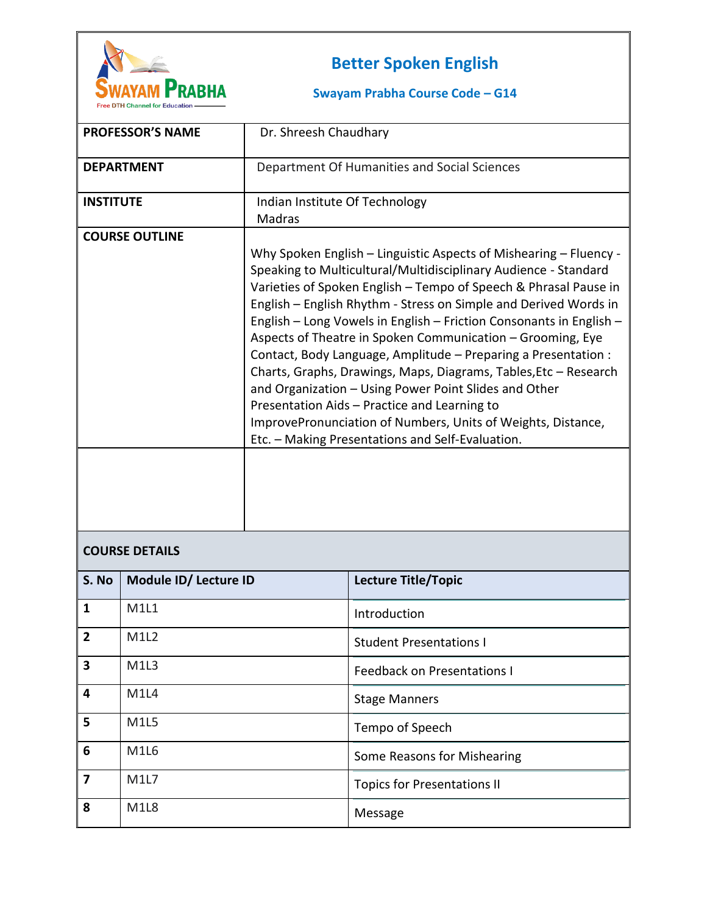

## **Better Spoken English**

## **Swayam Prabha Course Code – G14**

|                       | <b>PROFESSOR'S NAME</b> | Dr. Shreesh Chaudhary                                                                                                                                                                                                                                                                                                                                                                                                                                                                                                                                                                                                                                                                                                                                                                |                                              |
|-----------------------|-------------------------|--------------------------------------------------------------------------------------------------------------------------------------------------------------------------------------------------------------------------------------------------------------------------------------------------------------------------------------------------------------------------------------------------------------------------------------------------------------------------------------------------------------------------------------------------------------------------------------------------------------------------------------------------------------------------------------------------------------------------------------------------------------------------------------|----------------------------------------------|
|                       | <b>DEPARTMENT</b>       |                                                                                                                                                                                                                                                                                                                                                                                                                                                                                                                                                                                                                                                                                                                                                                                      | Department Of Humanities and Social Sciences |
| <b>INSTITUTE</b>      |                         | Indian Institute Of Technology                                                                                                                                                                                                                                                                                                                                                                                                                                                                                                                                                                                                                                                                                                                                                       |                                              |
|                       |                         | Madras                                                                                                                                                                                                                                                                                                                                                                                                                                                                                                                                                                                                                                                                                                                                                                               |                                              |
| <b>COURSE OUTLINE</b> |                         | Why Spoken English - Linguistic Aspects of Mishearing - Fluency -<br>Speaking to Multicultural/Multidisciplinary Audience - Standard<br>Varieties of Spoken English - Tempo of Speech & Phrasal Pause in<br>English - English Rhythm - Stress on Simple and Derived Words in<br>English - Long Vowels in English - Friction Consonants in English -<br>Aspects of Theatre in Spoken Communication - Grooming, Eye<br>Contact, Body Language, Amplitude - Preparing a Presentation :<br>Charts, Graphs, Drawings, Maps, Diagrams, Tables, Etc - Research<br>and Organization - Using Power Point Slides and Other<br>Presentation Aids - Practice and Learning to<br>ImprovePronunciation of Numbers, Units of Weights, Distance,<br>Etc. - Making Presentations and Self-Evaluation. |                                              |
|                       |                         |                                                                                                                                                                                                                                                                                                                                                                                                                                                                                                                                                                                                                                                                                                                                                                                      |                                              |
| <b>COURSE DETAILS</b> |                         |                                                                                                                                                                                                                                                                                                                                                                                                                                                                                                                                                                                                                                                                                                                                                                                      |                                              |
| S. No                 | Module ID/ Lecture ID   |                                                                                                                                                                                                                                                                                                                                                                                                                                                                                                                                                                                                                                                                                                                                                                                      | <b>Lecture Title/Topic</b>                   |
| 1                     | M1L1                    |                                                                                                                                                                                                                                                                                                                                                                                                                                                                                                                                                                                                                                                                                                                                                                                      | Introduction                                 |

| J. IVU                  | <b>IVIUUUIE ID/LECLUIE ID</b> | Lecture Title, Topic               |
|-------------------------|-------------------------------|------------------------------------|
| $\mathbf{1}$            | <b>M1L1</b>                   | Introduction                       |
| $\overline{2}$          | M <sub>1</sub> L <sub>2</sub> | <b>Student Presentations I</b>     |
| $\overline{\mathbf{3}}$ | M1L3                          | <b>Feedback on Presentations I</b> |
| $\overline{\mathbf{4}}$ | <b>M1L4</b>                   | <b>Stage Manners</b>               |
| 5                       | M1L5                          | Tempo of Speech                    |
| 6                       | <b>M1L6</b>                   | Some Reasons for Mishearing        |
| $\overline{7}$          | M1L7                          | <b>Topics for Presentations II</b> |
| 8                       | M <sub>1</sub> L <sub>8</sub> | Message                            |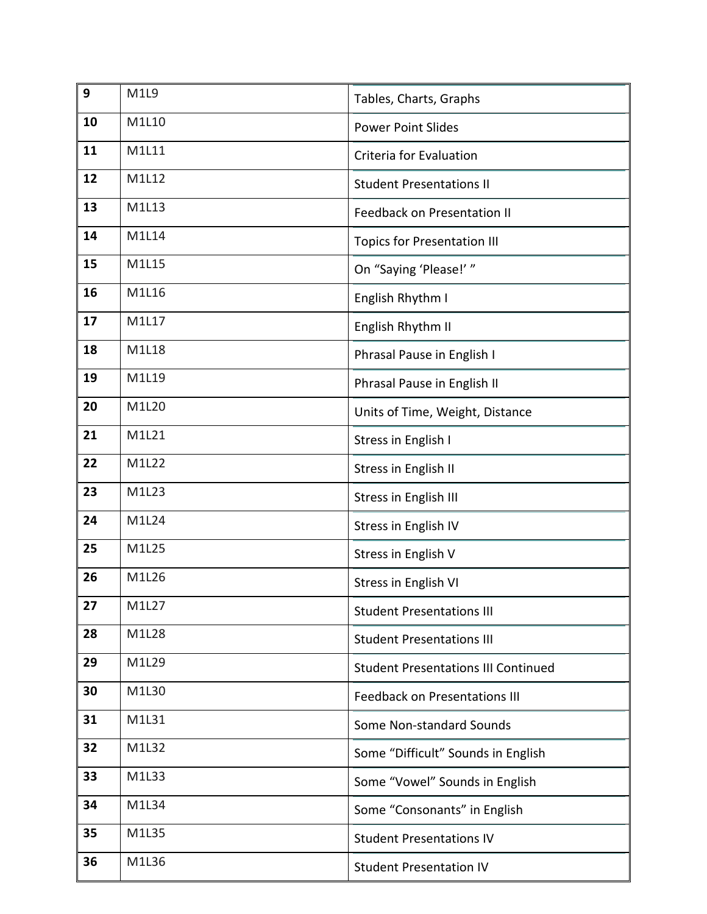| 9  | M1L9  | Tables, Charts, Graphs                     |
|----|-------|--------------------------------------------|
| 10 | M1L10 | <b>Power Point Slides</b>                  |
| 11 | M1L11 | Criteria for Evaluation                    |
| 12 | M1L12 | <b>Student Presentations II</b>            |
| 13 | M1L13 | <b>Feedback on Presentation II</b>         |
| 14 | M1L14 | <b>Topics for Presentation III</b>         |
| 15 | M1L15 | On "Saying 'Please!' "                     |
| 16 | M1L16 | English Rhythm I                           |
| 17 | M1L17 | English Rhythm II                          |
| 18 | M1L18 | Phrasal Pause in English I                 |
| 19 | M1L19 | Phrasal Pause in English II                |
| 20 | M1L20 | Units of Time, Weight, Distance            |
| 21 | M1L21 | Stress in English I                        |
| 22 | M1L22 | Stress in English II                       |
| 23 | M1L23 | <b>Stress in English III</b>               |
| 24 | M1L24 | Stress in English IV                       |
| 25 | M1L25 | Stress in English V                        |
| 26 | M1L26 | Stress in English VI                       |
| 27 | M1L27 | <b>Student Presentations III</b>           |
| 28 | M1L28 | <b>Student Presentations III</b>           |
| 29 | M1L29 | <b>Student Presentations III Continued</b> |
| 30 | M1L30 | <b>Feedback on Presentations III</b>       |
| 31 | M1L31 | Some Non-standard Sounds                   |
| 32 | M1L32 | Some "Difficult" Sounds in English         |
| 33 | M1L33 | Some "Vowel" Sounds in English             |
| 34 | M1L34 | Some "Consonants" in English               |
| 35 | M1L35 | <b>Student Presentations IV</b>            |
| 36 | M1L36 | <b>Student Presentation IV</b>             |